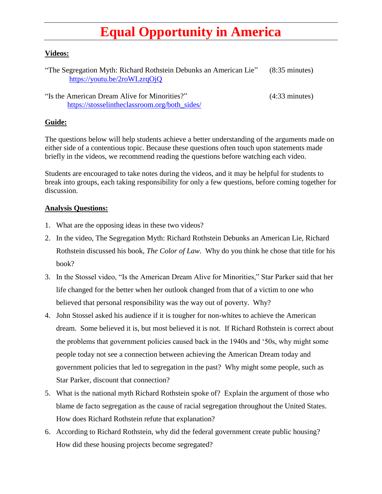## **Equal Opportunity in America**

## **Videos:**

| "The Segregation Myth: Richard Rothstein Debunks an American Lie" | $(8:35 \text{ minutes})$ |
|-------------------------------------------------------------------|--------------------------|
| https://youtu.be/2roWLzrqOjQ                                      |                          |
|                                                                   |                          |

"Is the American Dream Alive for Minorities?" (4:33 minutes) [https://stosselintheclassroom.org/both\\_sides/](https://stosselintheclassroom.org/both_sides/)

## **Guide:**

The questions below will help students achieve a better understanding of the arguments made on either side of a contentious topic. Because these questions often touch upon statements made briefly in the videos, we recommend reading the questions before watching each video.

Students are encouraged to take notes during the videos, and it may be helpful for students to break into groups, each taking responsibility for only a few questions, before coming together for discussion.

## **Analysis Questions:**

- 1. What are the opposing ideas in these two videos?
- 2. In the video, The Segregation Myth: Richard Rothstein Debunks an American Lie, Richard Rothstein discussed his book, *The Color of Law*. Why do you think he chose that title for his book?
- 3. In the Stossel video, "Is the American Dream Alive for Minorities," Star Parker said that her life changed for the better when her outlook changed from that of a victim to one who believed that personal responsibility was the way out of poverty. Why?
- 4. John Stossel asked his audience if it is tougher for non-whites to achieve the American dream. Some believed it is, but most believed it is not. If Richard Rothstein is correct about the problems that government policies caused back in the 1940s and '50s, why might some people today not see a connection between achieving the American Dream today and government policies that led to segregation in the past? Why might some people, such as Star Parker, discount that connection?
- 5. What is the national myth Richard Rothstein spoke of? Explain the argument of those who blame de facto segregation as the cause of racial segregation throughout the United States. How does Richard Rothstein refute that explanation?
- 6. According to Richard Rothstein, why did the federal government create public housing? How did these housing projects become segregated?